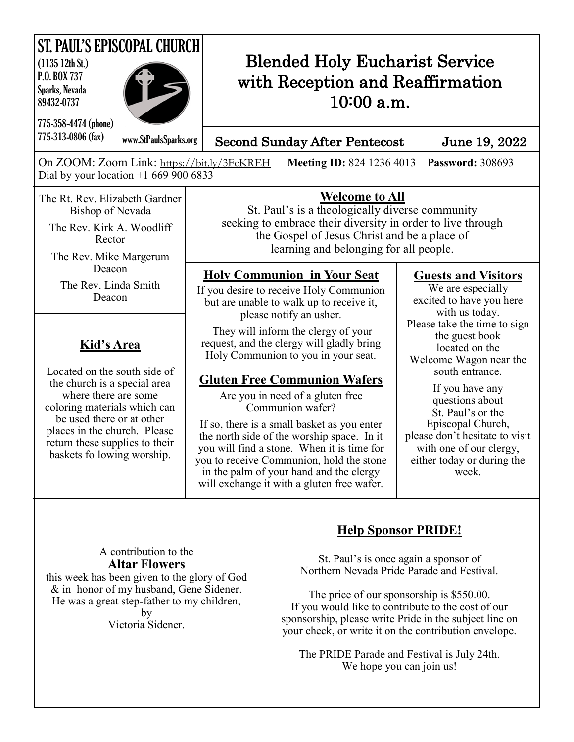# ST. PAUL'S EPISCOPAL CHURCH

(1135 12th St.) P.O. BOX 737 Sparks, Nevada 89432-0737



Blended Holy Eucharist Service with Reception and Reaffirmation 10:00 a.m.

775-358-4474 (phone) 775-313-0806 (fax)

www.StPaulsSparks.org

Second Sunday After Pentecost June 19, 2022

Dial by your location  $+1$  669 900 6833

On ZOOM: Zoom Link: [https://bit.ly/3FcKREH](https://nam02.safelinks.protection.outlook.com/?url=https%3A%2F%2Fbit.ly%2F3FcKREH&data=05%7C01%7COffice%40episcopalnevada.org%7Cf45e1bb280064f6bf1e208da2cac83ad%7C0e52696ac7d44258aaa20b9d55d6a826%7C0%7C0%7C637871416724000026%7CUnknown%7CTWFpbGZsb3d8eyJWIjoiM) **Meeting ID:** 824 1236 4013 **Password:** 308693

## The Rt. Rev. Elizabeth Gardner Bishop of Nevada

The Rev. Kirk A. Woodliff Rector

The Rev. Mike Margerum Deacon

The Rev. Linda Smith Deacon

## **Kid's Area**

Located on the south side of the church is a special area where there are some coloring materials which can be used there or at other places in the church. Please return these supplies to their baskets following worship.

# **Welcome to All**

St. Paul's is a theologically diverse community seeking to embrace their diversity in order to live through the Gospel of Jesus Christ and be a place of learning and belonging for all people.

## **Holy Communion in Your Seat**

If you desire to receive Holy Communion but are unable to walk up to receive it, please notify an usher.

They will inform the clergy of your request, and the clergy will gladly bring Holy Communion to you in your seat.

## **Gluten Free Communion Wafers**

Are you in need of a gluten free Communion wafer?

If so, there is a small basket as you enter the north side of the worship space. In it you will find a stone. When it is time for you to receive Communion, hold the stone in the palm of your hand and the clergy will exchange it with a gluten free wafer.

## **Guests and Visitors**

We are especially excited to have you here with us today. Please take the time to sign the guest book located on the Welcome Wagon near the south entrance.

If you have any questions about St. Paul's or the Episcopal Church, please don't hesitate to visit with one of our clergy, either today or during the week.

## A contribution to the **Altar Flowers**

this week has been given to the glory of God & in honor of my husband, Gene Sidener. He was a great step-father to my children, by Victoria Sidener.

## **Help Sponsor PRIDE!**

St. Paul's is once again a sponsor of Northern Nevada Pride Parade and Festival.

The price of our sponsorship is \$550.00. If you would like to contribute to the cost of our sponsorship, please write Pride in the subject line on your check, or write it on the contribution envelope.

The PRIDE Parade and Festival is July 24th. We hope you can join us!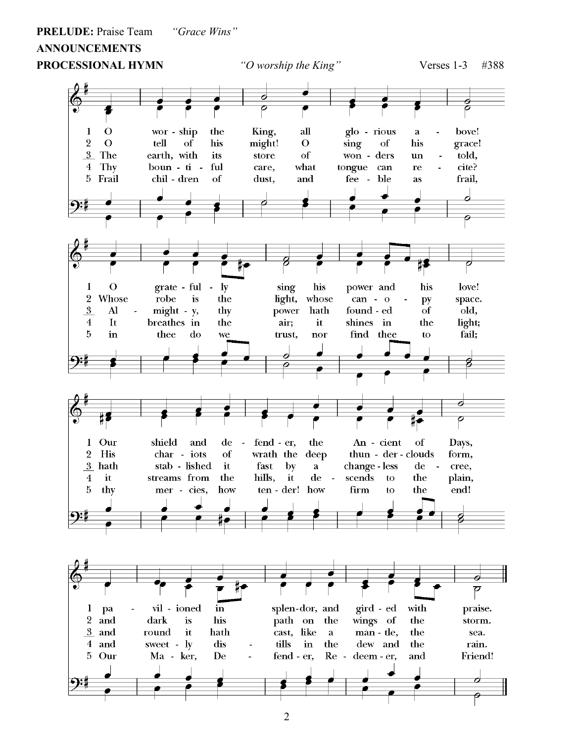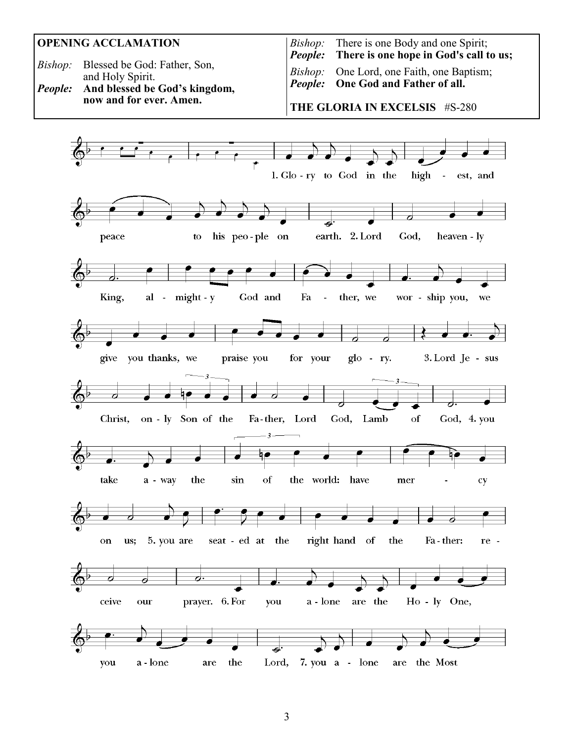## **OPENING ACCLAMATION**

*Bishop:* Blessed be God: Father, Son, and Holy Spirit. *People:* **And blessed be God's kingdom, now and for ever. Amen.** 

*Bishop:* There is one Body and one Spirit; *People:* **There is one hope in God's call to us;**

*Bishop:* One Lord, one Faith, one Baptism; *People:* **One God and Father of all.**

**THE GLORIA IN EXCELSIS** #S-280

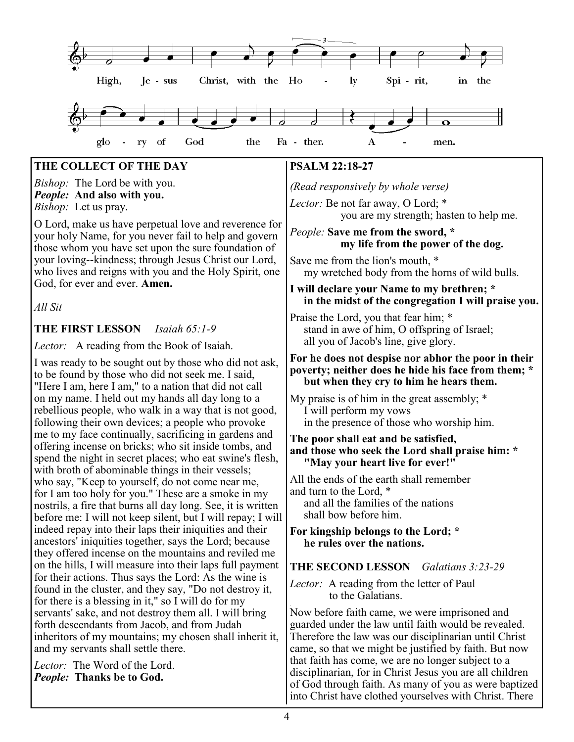

## **THE COLLECT OF THE DAY**

*Bishop:* The Lord be with you. *People:* **And also with you.** *Bishop:* Let us pray.

O Lord, make us have perpetual love and reverence for your holy Name, for you never fail to help and govern those whom you have set upon the sure foundation of your loving-kindness; through Jesus Christ our Lord, who lives and reigns with you and the Holy Spirit, one God, for ever and ever. **Amen.** 

*All Sit*

### **THE FIRST LESSON** *Isaiah 65:1-9*

*Lector:* A reading from the Book of Isaiah.

I was ready to be sought out by those who did not ask, to be found by those who did not seek me. I said, "Here I am, here I am," to a nation that did not call on my name. I held out my hands all day long to a rebellious people, who walk in a way that is not good, following their own devices; a people who provoke me to my face continually, sacrificing in gardens and offering incense on bricks; who sit inside tombs, and spend the night in secret places; who eat swine's flesh, with broth of abominable things in their vessels; who say, "Keep to yourself, do not come near me, for I am too holy for you." These are a smoke in my nostrils, a fire that burns all day long. See, it is written before me: I will not keep silent, but I will repay; I will indeed repay into their laps their iniquities and their ancestors' iniquities together, says the Lord; because they offered incense on the mountains and reviled me on the hills, I will measure into their laps full payment for their actions. Thus says the Lord: As the wine is found in the cluster, and they say, "Do not destroy it, for there is a blessing in it," so I will do for my servants' sake, and not destroy them all. I will bring forth descendants from Jacob, and from Judah inheritors of my mountains; my chosen shall inherit it, and my servants shall settle there.

*Lector:* The Word of the Lord. *People:* **Thanks be to God.**

#### **PSALM 22:18-27**

*(Read responsively by whole verse)*

- Lector: Be not far away, O Lord; \* you are my strength; hasten to help me.
- *People:* **Save me from the sword, \* my life from the power of the dog.**
- Save me from the lion's mouth, \* my wretched body from the horns of wild bulls.
- **I will declare your Name to my brethren; \* in the midst of the congregation I will praise you.**
- Praise the Lord, you that fear him; \* stand in awe of him, O offspring of Israel; all you of Jacob's line, give glory.

#### **For he does not despise nor abhor the poor in their poverty; neither does he hide his face from them; \* but when they cry to him he hears them.**

My praise is of him in the great assembly; \* I will perform my vows in the presence of those who worship him.

#### **The poor shall eat and be satisfied, and those who seek the Lord shall praise him: \* "May your heart live for ever!"**

- All the ends of the earth shall remember and turn to the Lord, \* and all the families of the nations shall bow before him.
- **For kingship belongs to the Lord; \* he rules over the nations.**

### **THE SECOND LESSON** *Galatians 3:23-29*

*Lector:* A reading from the letter of Paul to the Galatians.

Now before faith came, we were imprisoned and guarded under the law until faith would be revealed. Therefore the law was our disciplinarian until Christ came, so that we might be justified by faith. But now that faith has come, we are no longer subject to a disciplinarian, for in Christ Jesus you are all children of God through faith. As many of you as were baptized into Christ have clothed yourselves with Christ. There

.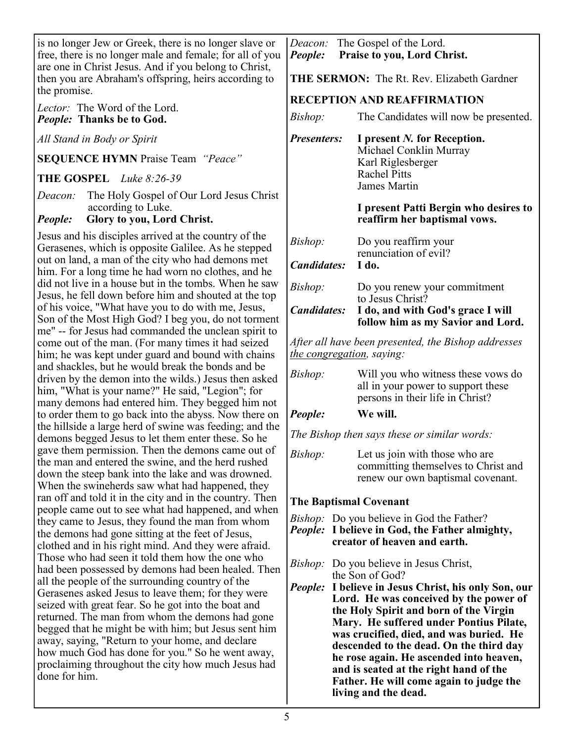| is no longer Jew or Greek, there is no longer slave or<br>free, there is no longer male and female; for all of you<br>are one in Christ Jesus. And if you belong to Christ,<br>then you are Abraham's offspring, heirs according to<br>the promise.                                                                                                                                                                                                                                                                                                          | Deacon:<br>The Gospel of the Lord.<br>People:<br>Praise to you, Lord Christ.<br><b>THE SERMON:</b> The Rt. Rev. Elizabeth Gardner                                                                                                                                                                                                                                                                                                        |
|--------------------------------------------------------------------------------------------------------------------------------------------------------------------------------------------------------------------------------------------------------------------------------------------------------------------------------------------------------------------------------------------------------------------------------------------------------------------------------------------------------------------------------------------------------------|------------------------------------------------------------------------------------------------------------------------------------------------------------------------------------------------------------------------------------------------------------------------------------------------------------------------------------------------------------------------------------------------------------------------------------------|
| Lector: The Word of the Lord.                                                                                                                                                                                                                                                                                                                                                                                                                                                                                                                                | <b>RECEPTION AND REAFFIRMATION</b>                                                                                                                                                                                                                                                                                                                                                                                                       |
| <i>People:</i> Thanks be to God.                                                                                                                                                                                                                                                                                                                                                                                                                                                                                                                             | Bishop:<br>The Candidates will now be presented.                                                                                                                                                                                                                                                                                                                                                                                         |
| All Stand in Body or Spirit                                                                                                                                                                                                                                                                                                                                                                                                                                                                                                                                  | <b>Presenters:</b><br>I present N. for Reception.<br>Michael Conklin Murray                                                                                                                                                                                                                                                                                                                                                              |
| <b>SEQUENCE HYMN Praise Team</b> "Peace"                                                                                                                                                                                                                                                                                                                                                                                                                                                                                                                     | Karl Riglesberger                                                                                                                                                                                                                                                                                                                                                                                                                        |
| THE GOSPEL Luke 8:26-39                                                                                                                                                                                                                                                                                                                                                                                                                                                                                                                                      | <b>Rachel Pitts</b><br>James Martin                                                                                                                                                                                                                                                                                                                                                                                                      |
| The Holy Gospel of Our Lord Jesus Christ<br>Deacon:<br>according to Luke.<br>Glory to you, Lord Christ.<br>People:                                                                                                                                                                                                                                                                                                                                                                                                                                           | I present Patti Bergin who desires to<br>reaffirm her baptismal vows.                                                                                                                                                                                                                                                                                                                                                                    |
| Jesus and his disciples arrived at the country of the<br>Gerasenes, which is opposite Galilee. As he stepped<br>out on land, a man of the city who had demons met<br>him. For a long time he had worn no clothes, and he                                                                                                                                                                                                                                                                                                                                     | Do you reaffirm your<br>Bishop:<br>renunciation of evil?<br><b>Candidates:</b><br>I do.                                                                                                                                                                                                                                                                                                                                                  |
| did not live in a house but in the tombs. When he saw                                                                                                                                                                                                                                                                                                                                                                                                                                                                                                        | Bishop:<br>Do you renew your commitment                                                                                                                                                                                                                                                                                                                                                                                                  |
| Jesus, he fell down before him and shouted at the top<br>of his voice, "What have you to do with me, Jesus,<br>Son of the Most High God? I beg you, do not torment<br>me" -- for Jesus had commanded the unclean spirit to<br>come out of the man. (For many times it had seized<br>him; he was kept under guard and bound with chains<br>and shackles, but he would break the bonds and be<br>driven by the demon into the wilds.) Jesus then asked<br>him, "What is your name?" He said, "Legion"; for<br>many demons had entered him. They begged him not | to Jesus Christ?<br><b>Candidates:</b><br>I do, and with God's grace I will<br>follow him as my Savior and Lord.                                                                                                                                                                                                                                                                                                                         |
|                                                                                                                                                                                                                                                                                                                                                                                                                                                                                                                                                              | After all have been presented, the Bishop addresses<br><i>the congregation</i> , saying:                                                                                                                                                                                                                                                                                                                                                 |
|                                                                                                                                                                                                                                                                                                                                                                                                                                                                                                                                                              | Bishop:<br>Will you who witness these vows do<br>all in your power to support these<br>persons in their life in Christ?                                                                                                                                                                                                                                                                                                                  |
| to order them to go back into the abyss. Now there on                                                                                                                                                                                                                                                                                                                                                                                                                                                                                                        | People:<br>We will.                                                                                                                                                                                                                                                                                                                                                                                                                      |
| the hillside a large herd of swine was feeding; and the<br>demons begged Jesus to let them enter these. So he                                                                                                                                                                                                                                                                                                                                                                                                                                                | The Bishop then says these or similar words:                                                                                                                                                                                                                                                                                                                                                                                             |
| gave them permission. Then the demons came out of<br>the man and entered the swine, and the herd rushed<br>down the steep bank into the lake and was drowned.<br>When the swineherds saw what had happened, they<br>ran off and told it in the city and in the country. Then                                                                                                                                                                                                                                                                                 | Let us join with those who are<br>Bishop:<br>committing themselves to Christ and<br>renew our own baptismal covenant.                                                                                                                                                                                                                                                                                                                    |
|                                                                                                                                                                                                                                                                                                                                                                                                                                                                                                                                                              | <b>The Baptismal Covenant</b>                                                                                                                                                                                                                                                                                                                                                                                                            |
| people came out to see what had happened, and when<br>they came to Jesus, they found the man from whom                                                                                                                                                                                                                                                                                                                                                                                                                                                       | <i>Bishop:</i> Do you believe in God the Father?                                                                                                                                                                                                                                                                                                                                                                                         |
| the demons had gone sitting at the feet of Jesus,<br>clothed and in his right mind. And they were afraid.                                                                                                                                                                                                                                                                                                                                                                                                                                                    | <i>People:</i> I believe in God, the Father almighty,<br>creator of heaven and earth.                                                                                                                                                                                                                                                                                                                                                    |
| Those who had seen it told them how the one who<br>had been possessed by demons had been healed. Then                                                                                                                                                                                                                                                                                                                                                                                                                                                        | <i>Bishop</i> : Do you believe in Jesus Christ,<br>the Son of God?                                                                                                                                                                                                                                                                                                                                                                       |
| all the people of the surrounding country of the<br>Gerasenes asked Jesus to leave them; for they were<br>seized with great fear. So he got into the boat and<br>returned. The man from whom the demons had gone<br>begged that he might be with him; but Jesus sent him<br>away, saying, "Return to your home, and declare<br>how much God has done for you." So he went away,<br>proclaiming throughout the city how much Jesus had<br>done for him.                                                                                                       | <i>People:</i> I believe in Jesus Christ, his only Son, our<br>Lord. He was conceived by the power of<br>the Holy Spirit and born of the Virgin<br>Mary. He suffered under Pontius Pilate,<br>was crucified, died, and was buried. He<br>descended to the dead. On the third day<br>he rose again. He ascended into heaven,<br>and is seated at the right hand of the<br>Father. He will come again to judge the<br>living and the dead. |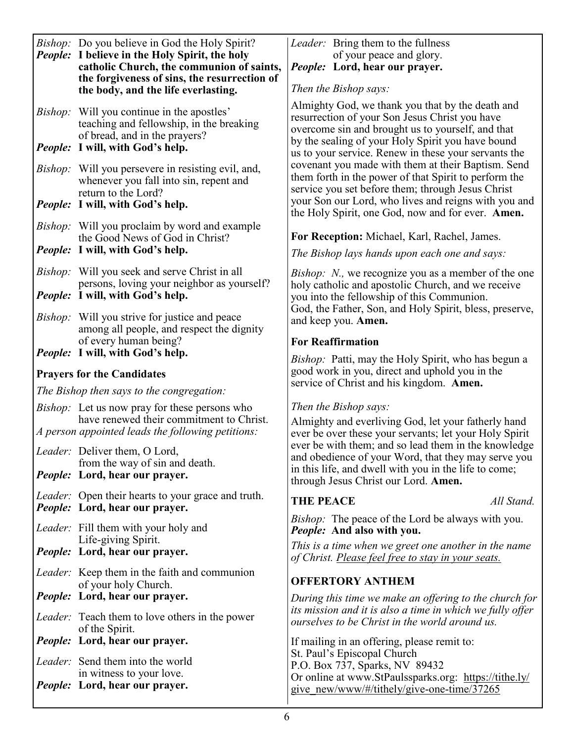|                | <i>Bishop:</i> Do you believe in God the Holy Spirit?<br><i>People:</i> I believe in the Holy Spirit, the holy<br>catholic Church, the communion of saints,<br>the forgiveness of sins, the resurrection of | <i>Leader:</i> Bring them to the fullness<br>of your peace and glory.<br>People: Lord, hear our prayer.                                                                                                                                                                                       |
|----------------|-------------------------------------------------------------------------------------------------------------------------------------------------------------------------------------------------------------|-----------------------------------------------------------------------------------------------------------------------------------------------------------------------------------------------------------------------------------------------------------------------------------------------|
| <i>Bishop:</i> | the body, and the life everlasting.<br>Will you continue in the apostles'<br>teaching and fellowship, in the breaking<br>of bread, and in the prayers?<br><i>People:</i> I will, with God's help.           | Then the Bishop says:<br>Almighty God, we thank you that by the death and<br>resurrection of your Son Jesus Christ you have<br>overcome sin and brought us to yourself, and that<br>by the sealing of your Holy Spirit you have bound<br>us to your service. Renew in these your servants the |
|                | <i>Bishop</i> : Will you persevere in resisting evil, and,<br>whenever you fall into sin, repent and<br>return to the Lord?<br>People: I will, with God's help.                                             | covenant you made with them at their Baptism. Send<br>them forth in the power of that Spirit to perform the<br>service you set before them; through Jesus Christ<br>your Son our Lord, who lives and reigns with you and<br>the Holy Spirit, one God, now and for ever. Amen.                 |
|                | Bishop: Will you proclaim by word and example<br>the Good News of God in Christ?<br><i>People:</i> I will, with God's help.                                                                                 | For Reception: Michael, Karl, Rachel, James.<br>The Bishop lays hands upon each one and says:                                                                                                                                                                                                 |
|                | Bishop: Will you seek and serve Christ in all<br>persons, loving your neighbor as yourself?<br><i>People:</i> I will, with God's help.                                                                      | <i>Bishop:</i> N., we recognize you as a member of the one<br>holy catholic and apostolic Church, and we receive<br>you into the fellowship of this Communion.                                                                                                                                |
|                | <i>Bishop:</i> Will you strive for justice and peace<br>among all people, and respect the dignity<br>of every human being?<br><i>People:</i> I will, with God's help.                                       | God, the Father, Son, and Holy Spirit, bless, preserve,<br>and keep you. Amen.<br><b>For Reaffirmation</b>                                                                                                                                                                                    |
|                | <b>Prayers for the Candidates</b>                                                                                                                                                                           | <i>Bishop</i> : Patti, may the Holy Spirit, who has begun a<br>good work in you, direct and uphold you in the<br>service of Christ and his kingdom. Amen.                                                                                                                                     |
|                | The Bishop then says to the congregation:                                                                                                                                                                   |                                                                                                                                                                                                                                                                                               |
|                | <i>Bishop:</i> Let us now pray for these persons who<br>have renewed their commitment to Christ.<br>A person appointed leads the following petitions:                                                       | Then the Bishop says:<br>Almighty and everliving God, let your fatherly hand<br>ever be over these your servants; let your Holy Spirit                                                                                                                                                        |
|                | Leader: Deliver them, O Lord,<br>from the way of sin and death.<br>People: Lord, hear our prayer.                                                                                                           | ever be with them; and so lead them in the knowledge<br>and obedience of your Word, that they may serve you<br>in this life, and dwell with you in the life to come;<br>through Jesus Christ our Lord. Amen.                                                                                  |
|                | Leader: Open their hearts to your grace and truth.                                                                                                                                                          | <b>THE PEACE</b><br>All Stand.                                                                                                                                                                                                                                                                |
|                | People: Lord, hear our prayer.<br>Leader: Fill them with your holy and                                                                                                                                      | <i>Bishop:</i> The peace of the Lord be always with you.<br><i>People:</i> And also with you.                                                                                                                                                                                                 |
|                | Life-giving Spirit.<br><i>People:</i> Lord, hear our prayer.                                                                                                                                                | This is a time when we greet one another in the name<br>of Christ. Please feel free to stay in your seats.                                                                                                                                                                                    |
|                | Leader: Keep them in the faith and communion                                                                                                                                                                | <b>OFFERTORY ANTHEM</b>                                                                                                                                                                                                                                                                       |
|                | of your holy Church.<br><i>People:</i> Lord, hear our prayer.                                                                                                                                               | During this time we make an offering to the church for                                                                                                                                                                                                                                        |
|                | <i>Leader:</i> Teach them to love others in the power<br>of the Spirit.                                                                                                                                     | its mission and it is also a time in which we fully offer<br>ourselves to be Christ in the world around us.                                                                                                                                                                                   |
|                | <i>People:</i> Lord, hear our prayer.                                                                                                                                                                       | If mailing in an offering, please remit to:                                                                                                                                                                                                                                                   |
|                | Leader: Send them into the world<br>in witness to your love.                                                                                                                                                | St. Paul's Episcopal Church<br>P.O. Box 737, Sparks, NV 89432<br>Or online at www.StPaulssparks.org: https://tithe.ly/                                                                                                                                                                        |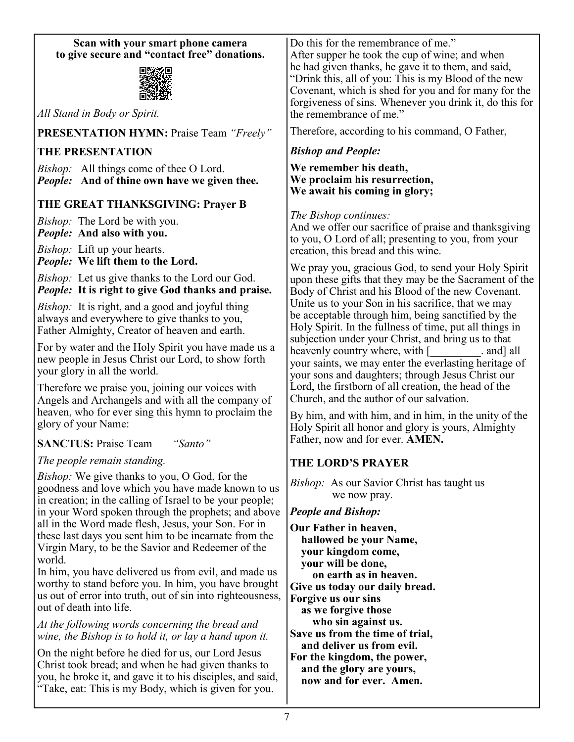| Scan with your smart phone camera<br>to give secure and "contact free" donations.<br>All Stand in Body or Spirit.                                                                                                                  | Do this for the remembrance of me."<br>After supper he took the cup of wine; and when<br>he had given thanks, he gave it to them, and said,<br>"Drink this, all of you: This is my Blood of the new<br>Covenant, which is shed for you and for many for the<br>forgiveness of sins. Whenever you drink it, do this for<br>the remembrance of me." |
|------------------------------------------------------------------------------------------------------------------------------------------------------------------------------------------------------------------------------------|---------------------------------------------------------------------------------------------------------------------------------------------------------------------------------------------------------------------------------------------------------------------------------------------------------------------------------------------------|
| <b>PRESENTATION HYMN: Praise Team "Freely"</b>                                                                                                                                                                                     | Therefore, according to his command, O Father,                                                                                                                                                                                                                                                                                                    |
| <b>THE PRESENTATION</b>                                                                                                                                                                                                            | <b>Bishop and People:</b>                                                                                                                                                                                                                                                                                                                         |
| <i>Bishop:</i> All things come of thee O Lord.<br>People: And of thine own have we given thee.                                                                                                                                     | We remember his death,<br>We proclaim his resurrection,<br>We await his coming in glory;                                                                                                                                                                                                                                                          |
| THE GREAT THANKSGIVING: Prayer B                                                                                                                                                                                                   |                                                                                                                                                                                                                                                                                                                                                   |
| <i>Bishop:</i> The Lord be with you.<br><i>People:</i> And also with you.                                                                                                                                                          | The Bishop continues:<br>And we offer our sacrifice of praise and thanksgiving<br>to you, O Lord of all; presenting to you, from your                                                                                                                                                                                                             |
| <i>Bishop:</i> Lift up your hearts.<br>People: We lift them to the Lord.                                                                                                                                                           | creation, this bread and this wine.                                                                                                                                                                                                                                                                                                               |
| Bishop: Let us give thanks to the Lord our God.<br><i>People:</i> It is right to give God thanks and praise.                                                                                                                       | We pray you, gracious God, to send your Holy Spirit<br>upon these gifts that they may be the Sacrament of the<br>Body of Christ and his Blood of the new Covenant.                                                                                                                                                                                |
| <i>Bishop</i> : It is right, and a good and joyful thing<br>always and everywhere to give thanks to you,<br>Father Almighty, Creator of heaven and earth.                                                                          | Unite us to your Son in his sacrifice, that we may<br>be acceptable through him, being sanctified by the<br>Holy Spirit. In the fullness of time, put all things in                                                                                                                                                                               |
| For by water and the Holy Spirit you have made us a<br>new people in Jesus Christ our Lord, to show forth<br>your glory in all the world.                                                                                          | subjection under your Christ, and bring us to that<br>heavenly country where, with [<br>. and all<br>your saints, we may enter the everlasting heritage of<br>your sons and daughters; through Jesus Christ our                                                                                                                                   |
| Therefore we praise you, joining our voices with<br>Angels and Archangels and with all the company of<br>heaven, who for ever sing this hymn to proclaim the<br>glory of your Name:                                                | Lord, the firstborn of all creation, the head of the<br>Church, and the author of our salvation.<br>By him, and with him, and in him, in the unity of the                                                                                                                                                                                         |
| <b>SANCTUS: Praise Team</b><br>"Santo"                                                                                                                                                                                             | Holy Spirit all honor and glory is yours, Almighty<br>Father, now and for ever. AMEN.                                                                                                                                                                                                                                                             |
| The people remain standing.                                                                                                                                                                                                        | <b>THE LORD'S PRAYER</b>                                                                                                                                                                                                                                                                                                                          |
| <i>Bishop:</i> We give thanks to you, O God, for the<br>goodness and love which you have made known to us<br>in creation; in the calling of Israel to be your people;                                                              | <i>Bishop:</i> As our Savior Christ has taught us<br>we now pray.                                                                                                                                                                                                                                                                                 |
| in your Word spoken through the prophets; and above<br>all in the Word made flesh, Jesus, your Son. For in<br>these last days you sent him to be incarnate from the<br>Virgin Mary, to be the Savior and Redeemer of the<br>world. | <b>People and Bishop:</b><br>Our Father in heaven,<br>hallowed be your Name,<br>your kingdom come,                                                                                                                                                                                                                                                |
| In him, you have delivered us from evil, and made us<br>worthy to stand before you. In him, you have brought<br>us out of error into truth, out of sin into righteousness,<br>out of death into life.                              | your will be done,<br>on earth as in heaven.<br>Give us today our daily bread.<br>Forgive us our sins<br>as we forgive those                                                                                                                                                                                                                      |
| At the following words concerning the bread and<br>wine, the Bishop is to hold it, or lay a hand upon it.                                                                                                                          | who sin against us.<br>Save us from the time of trial,                                                                                                                                                                                                                                                                                            |
| On the night before he died for us, our Lord Jesus<br>Christ took bread; and when he had given thanks to<br>you, he broke it, and gave it to his disciples, and said,                                                              | and deliver us from evil.<br>For the kingdom, the power,<br>and the glory are yours,<br>now and for ever. Amen.                                                                                                                                                                                                                                   |

"Take, eat: This is my Body, which is given for you.